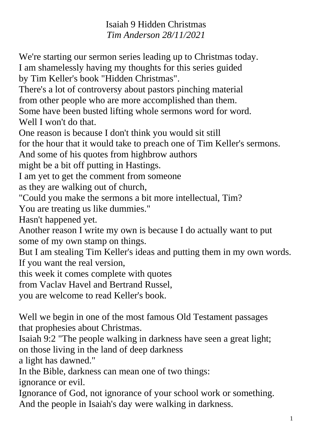Isaiah 9 Hidden Christmas *Tim Anderson 28/11/2021*

We're starting our sermon series leading up to Christmas today. I am shamelessly having my thoughts for this series guided by Tim Keller's book "Hidden Christmas". There's a lot of controversy about pastors pinching material from other people who are more accomplished than them. Some have been busted lifting whole sermons word for word. Well I won't do that. One reason is because I don't think you would sit still for the hour that it would take to preach one of Tim Keller's sermons. And some of his quotes from highbrow authors might be a bit off putting in Hastings. I am yet to get the comment from someone as they are walking out of church, "Could you make the sermons a bit more intellectual, Tim? You are treating us like dummies." Hasn't happened yet. Another reason I write my own is because I do actually want to put

some of my own stamp on things.

But I am stealing Tim Keller's ideas and putting them in my own words. If you want the real version,

this week it comes complete with quotes

from Vaclav Havel and Bertrand Russel,

you are welcome to read Keller's book.

Well we begin in one of the most famous Old Testament passages that prophesies about Christmas.

Isaiah 9:2 "The people walking in darkness have seen a great light; on those living in the land of deep darkness

a light has dawned."

In the Bible, darkness can mean one of two things:

ignorance or evil.

Ignorance of God, not ignorance of your school work or something. And the people in Isaiah's day were walking in darkness.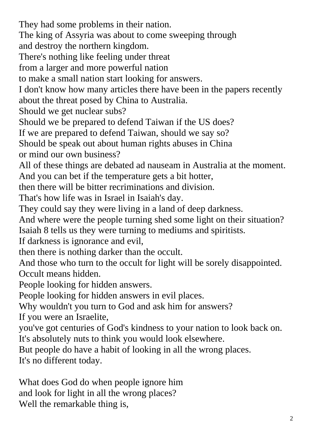They had some problems in their nation.

The king of Assyria was about to come sweeping through

and destroy the northern kingdom.

There's nothing like feeling under threat

from a larger and more powerful nation

to make a small nation start looking for answers.

I don't know how many articles there have been in the papers recently about the threat posed by China to Australia.

Should we get nuclear subs?

Should we be prepared to defend Taiwan if the US does?

If we are prepared to defend Taiwan, should we say so?

Should be speak out about human rights abuses in China

or mind our own business?

All of these things are debated ad nauseam in Australia at the moment. And you can bet if the temperature gets a bit hotter,

then there will be bitter recriminations and division.

That's how life was in Israel in Isaiah's day.

They could say they were living in a land of deep darkness.

And where were the people turning shed some light on their situation? Isaiah 8 tells us they were turning to mediums and spiritists.

If darkness is ignorance and evil,

then there is nothing darker than the occult.

And those who turn to the occult for light will be sorely disappointed. Occult means hidden.

People looking for hidden answers.

People looking for hidden answers in evil places.

Why wouldn't you turn to God and ask him for answers?

If you were an Israelite,

you've got centuries of God's kindness to your nation to look back on. It's absolutely nuts to think you would look elsewhere.

But people do have a habit of looking in all the wrong places.

It's no different today.

What does God do when people ignore him and look for light in all the wrong places? Well the remarkable thing is,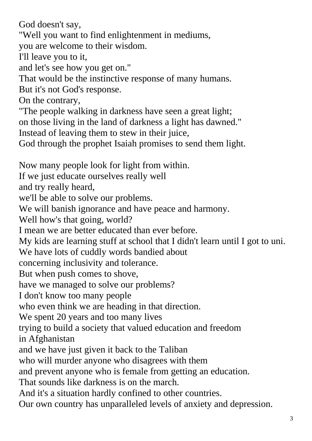God doesn't say,

"Well you want to find enlightenment in mediums,

you are welcome to their wisdom.

I'll leave you to it,

and let's see how you get on."

That would be the instinctive response of many humans.

But it's not God's response.

On the contrary,

"The people walking in darkness have seen a great light; on those living in the land of darkness a light has dawned." Instead of leaving them to stew in their juice,

God through the prophet Isaiah promises to send them light.

Now many people look for light from within. If we just educate ourselves really well and try really heard, we'll be able to solve our problems. We will banish ignorance and have peace and harmony. Well how's that going, world? I mean we are better educated than ever before. My kids are learning stuff at school that I didn't learn until I got to uni. We have lots of cuddly words bandied about concerning inclusivity and tolerance. But when push comes to shove, have we managed to solve our problems? I don't know too many people who even think we are heading in that direction. We spent 20 years and too many lives trying to build a society that valued education and freedom in Afghanistan and we have just given it back to the Taliban who will murder anyone who disagrees with them and prevent anyone who is female from getting an education. That sounds like darkness is on the march. And it's a situation hardly confined to other countries. Our own country has unparalleled levels of anxiety and depression.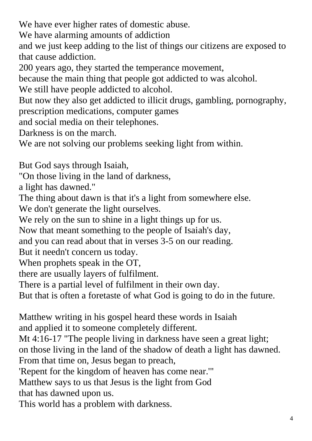We have ever higher rates of domestic abuse.

We have alarming amounts of addiction

and we just keep adding to the list of things our citizens are exposed to that cause addiction.

200 years ago, they started the temperance movement,

because the main thing that people got addicted to was alcohol.

We still have people addicted to alcohol.

But now they also get addicted to illicit drugs, gambling, pornography,

prescription medications, computer games

and social media on their telephones.

Darkness is on the march.

We are not solving our problems seeking light from within.

But God says through Isaiah,

"On those living in the land of darkness,

a light has dawned."

The thing about dawn is that it's a light from somewhere else.

We don't generate the light ourselves.

We rely on the sun to shine in a light things up for us.

Now that meant something to the people of Isaiah's day,

and you can read about that in verses 3-5 on our reading.

But it needn't concern us today.

When prophets speak in the OT,

there are usually layers of fulfilment.

There is a partial level of fulfilment in their own day.

But that is often a foretaste of what God is going to do in the future.

Matthew writing in his gospel heard these words in Isaiah and applied it to someone completely different.

Mt 4:16-17 "The people living in darkness have seen a great light; on those living in the land of the shadow of death a light has dawned. From that time on, Jesus began to preach,

'Repent for the kingdom of heaven has come near.'"

Matthew says to us that Jesus is the light from God

that has dawned upon us.

This world has a problem with darkness.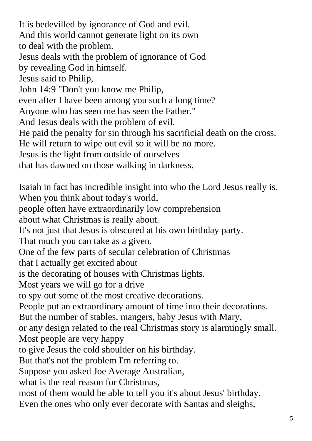It is bedevilled by ignorance of God and evil. And this world cannot generate light on its own to deal with the problem. Jesus deals with the problem of ignorance of God by revealing God in himself. Jesus said to Philip, John 14:9 "Don't you know me Philip, even after I have been among you such a long time? Anyone who has seen me has seen the Father." And Jesus deals with the problem of evil. He paid the penalty for sin through his sacrificial death on the cross. He will return to wipe out evil so it will be no more. Jesus is the light from outside of ourselves that has dawned on those walking in darkness. Isaiah in fact has incredible insight into who the Lord Jesus really is. When you think about today's world, people often have extraordinarily low comprehension about what Christmas is really about. It's not just that Jesus is obscured at his own birthday party. That much you can take as a given. One of the few parts of secular celebration of Christmas that I actually get excited about is the decorating of houses with Christmas lights. Most years we will go for a drive to spy out some of the most creative decorations. People put an extraordinary amount of time into their decorations. But the number of stables, mangers, baby Jesus with Mary, or any design related to the real Christmas story is alarmingly small. Most people are very happy to give Jesus the cold shoulder on his birthday. But that's not the problem I'm referring to. Suppose you asked Joe Average Australian, what is the real reason for Christmas, most of them would be able to tell you it's about Jesus' birthday. Even the ones who only ever decorate with Santas and sleighs,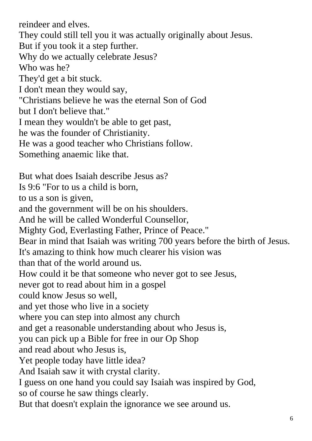reindeer and elves. They could still tell you it was actually originally about Jesus. But if you took it a step further. Why do we actually celebrate Jesus? Who was he? They'd get a bit stuck. I don't mean they would say, "Christians believe he was the eternal Son of God but I don't believe that." I mean they wouldn't be able to get past, he was the founder of Christianity. He was a good teacher who Christians follow. Something anaemic like that. But what does Isaiah describe Jesus as? Is 9:6 "For to us a child is born, to us a son is given, and the government will be on his shoulders. And he will be called Wonderful Counsellor, Mighty God, Everlasting Father, Prince of Peace." Bear in mind that Isaiah was writing 700 years before the birth of Jesus. It's amazing to think how much clearer his vision was than that of the world around us. How could it be that someone who never got to see Jesus, never got to read about him in a gospel could know Jesus so well, and yet those who live in a society where you can step into almost any church and get a reasonable understanding about who Jesus is, you can pick up a Bible for free in our Op Shop and read about who Jesus is, Yet people today have little idea? And Isaiah saw it with crystal clarity. I guess on one hand you could say Isaiah was inspired by God, so of course he saw things clearly. But that doesn't explain the ignorance we see around us.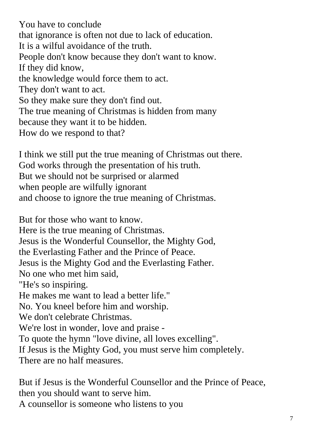You have to conclude that ignorance is often not due to lack of education. It is a wilful avoidance of the truth. People don't know because they don't want to know. If they did know, the knowledge would force them to act. They don't want to act. So they make sure they don't find out. The true meaning of Christmas is hidden from many because they want it to be hidden. How do we respond to that?

I think we still put the true meaning of Christmas out there. God works through the presentation of his truth. But we should not be surprised or alarmed when people are wilfully ignorant and choose to ignore the true meaning of Christmas.

But for those who want to know. Here is the true meaning of Christmas. Jesus is the Wonderful Counsellor, the Mighty God, the Everlasting Father and the Prince of Peace. Jesus is the Mighty God and the Everlasting Father. No one who met him said, "He's so inspiring. He makes me want to lead a better life." No. You kneel before him and worship. We don't celebrate Christmas. We're lost in wonder, love and praise - To quote the hymn "love divine, all loves excelling". If Jesus is the Mighty God, you must serve him completely. There are no half measures.

But if Jesus is the Wonderful Counsellor and the Prince of Peace, then you should want to serve him. A counsellor is someone who listens to you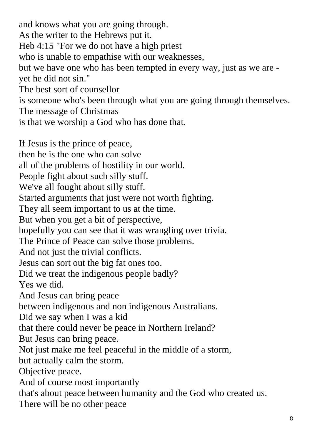and knows what you are going through. As the writer to the Hebrews put it. Heb 4:15 "For we do not have a high priest who is unable to empathise with our weaknesses, but we have one who has been tempted in every way, just as we are yet he did not sin." The best sort of counsellor is someone who's been through what you are going through themselves. The message of Christmas is that we worship a God who has done that.

If Jesus is the prince of peace, then he is the one who can solve all of the problems of hostility in our world. People fight about such silly stuff. We've all fought about silly stuff. Started arguments that just were not worth fighting. They all seem important to us at the time. But when you get a bit of perspective, hopefully you can see that it was wrangling over trivia. The Prince of Peace can solve those problems. And not just the trivial conflicts. Jesus can sort out the big fat ones too. Did we treat the indigenous people badly? Yes we did. And Jesus can bring peace between indigenous and non indigenous Australians. Did we say when I was a kid that there could never be peace in Northern Ireland? But Jesus can bring peace. Not just make me feel peaceful in the middle of a storm, but actually calm the storm. Objective peace. And of course most importantly that's about peace between humanity and the God who created us. There will be no other peace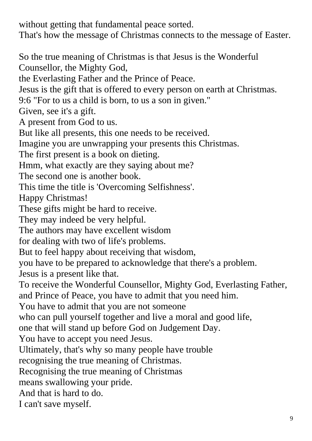without getting that fundamental peace sorted. That's how the message of Christmas connects to the message of Easter.

So the true meaning of Christmas is that Jesus is the Wonderful Counsellor, the Mighty God, the Everlasting Father and the Prince of Peace. Jesus is the gift that is offered to every person on earth at Christmas. 9:6 "For to us a child is born, to us a son in given." Given, see it's a gift. A present from God to us. But like all presents, this one needs to be received. Imagine you are unwrapping your presents this Christmas. The first present is a book on dieting. Hmm, what exactly are they saying about me? The second one is another book. This time the title is 'Overcoming Selfishness'. Happy Christmas! These gifts might be hard to receive. They may indeed be very helpful. The authors may have excellent wisdom for dealing with two of life's problems. But to feel happy about receiving that wisdom, you have to be prepared to acknowledge that there's a problem. Jesus is a present like that. To receive the Wonderful Counsellor, Mighty God, Everlasting Father, and Prince of Peace, you have to admit that you need him. You have to admit that you are not someone who can pull yourself together and live a moral and good life, one that will stand up before God on Judgement Day. You have to accept you need Jesus. Ultimately, that's why so many people have trouble recognising the true meaning of Christmas. Recognising the true meaning of Christmas means swallowing your pride. And that is hard to do. I can't save myself.